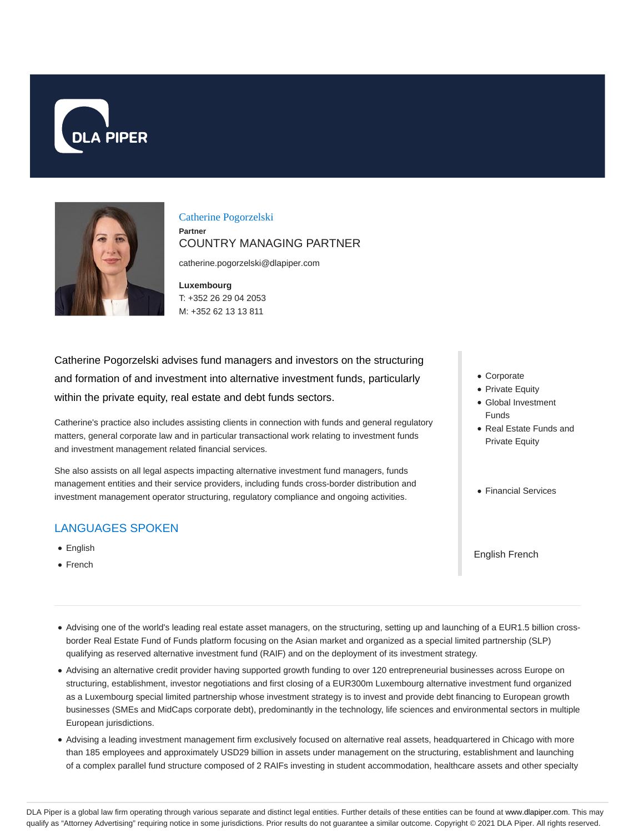



Catherine Pogorzelski **Partner** COUNTRY MANAGING PARTNER

catherine.pogorzelski@dlapiper.com

**Luxembourg** T: +352 26 29 04 2053 M: +352 62 13 13 811

Catherine Pogorzelski advises fund managers and investors on the structuring and formation of and investment into alternative investment funds, particularly within the private equity, real estate and debt funds sectors.

Catherine's practice also includes assisting clients in connection with funds and general regulatory matters, general corporate law and in particular transactional work relating to investment funds and investment management related financial services.

She also assists on all legal aspects impacting alternative investment fund managers, funds management entities and their service providers, including funds cross-border distribution and investment management operator structuring, regulatory compliance and ongoing activities.

## LANGUAGES SPOKEN

- English
- French
- Corporate
- Private Equity
- Global Investment Funds
- Real Estate Funds and Private Equity
- Financial Services

English French

- Advising one of the world's leading real estate asset managers, on the structuring, setting up and launching of a EUR1.5 billion crossborder Real Estate Fund of Funds platform focusing on the Asian market and organized as a special limited partnership (SLP) qualifying as reserved alternative investment fund (RAIF) and on the deployment of its investment strategy.
- Advising an alternative credit provider having supported growth funding to over 120 entrepreneurial businesses across Europe on structuring, establishment, investor negotiations and first closing of a EUR300m Luxembourg alternative investment fund organized as a Luxembourg special limited partnership whose investment strategy is to invest and provide debt financing to European growth businesses (SMEs and MidCaps corporate debt), predominantly in the technology, life sciences and environmental sectors in multiple European jurisdictions.
- Advising a leading investment management firm exclusively focused on alternative real assets, headquartered in Chicago with more than 185 employees and approximately USD29 billion in assets under management on the structuring, establishment and launching of a complex parallel fund structure composed of 2 RAIFs investing in student accommodation, healthcare assets and other specialty

DLA Piper is a global law firm operating through various separate and distinct legal entities. Further details of these entities can be found at www.dlapiper.com. This may qualify as "Attorney Advertising" requiring notice in some jurisdictions. Prior results do not guarantee a similar outcome. Copyright @ 2021 DLA Piper. All rights reserved.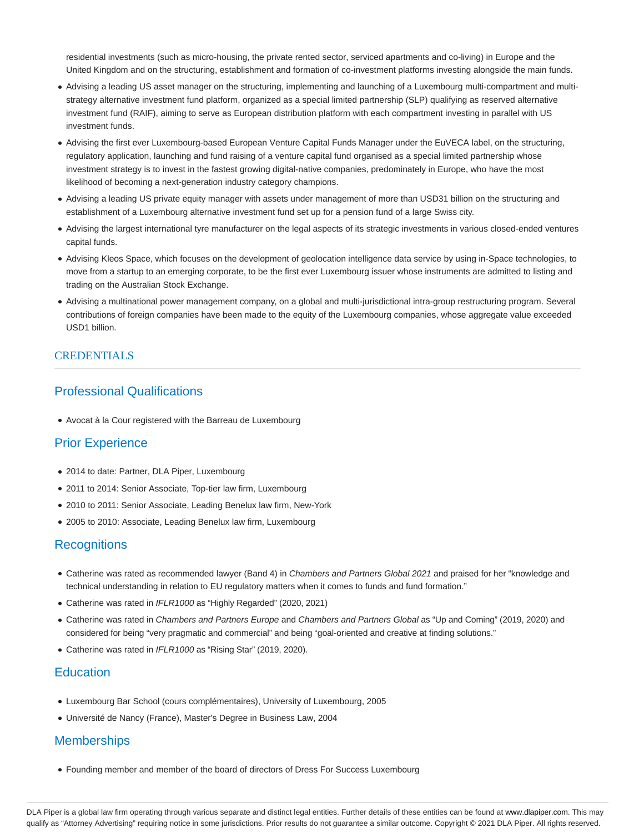residential investments (such as micro-housing, the private rented sector, serviced apartments and co-living) in Europe and the United Kingdom and on the structuring, establishment and formation of co-investment platforms investing alongside the main funds.

- Advising a leading US asset manager on the structuring, implementing and launching of a Luxembourg multi-compartment and multistrategy alternative investment fund platform, organized as a special limited partnership (SLP) qualifying as reserved alternative investment fund (RAIF), aiming to serve as European distribution platform with each compartment investing in parallel with US investment funds.
- Advising the first ever Luxembourg-based European Venture Capital Funds Manager under the EuVECA label, on the structuring, regulatory application, launching and fund raising of a venture capital fund organised as a special limited partnership whose investment strategy is to invest in the fastest growing digital-native companies, predominately in Europe, who have the most likelihood of becoming a next-generation industry category champions.
- Advising a leading US private equity manager with assets under management of more than USD31 billion on the structuring and establishment of a Luxembourg alternative investment fund set up for a pension fund of a large Swiss city.
- Advising the largest international tyre manufacturer on the legal aspects of its strategic investments in various closed-ended ventures capital funds.
- Advising Kleos Space, which focuses on the development of geolocation intelligence data service by using in-Space technologies, to move from a startup to an emerging corporate, to be the first ever Luxembourg issuer whose instruments are admitted to listing and trading on the Australian Stock Exchange.
- Advising a multinational power management company, on a global and multi-jurisdictional intra-group restructuring program. Several contributions of foreign companies have been made to the equity of the Luxembourg companies, whose aggregate value exceeded USD1 billion.

## CREDENTIALS

# Professional Qualifications

Avocat à la Cour registered with the Barreau de Luxembourg

## Prior Experience

- 2014 to date: Partner, DLA Piper, Luxembourg
- 2011 to 2014: Senior Associate, Top-tier law firm, Luxembourg
- 2010 to 2011: Senior Associate, Leading Benelux law firm, New-York
- 2005 to 2010: Associate, Leading Benelux law firm, Luxembourg

### **Recognitions**

- Catherine was rated as recommended lawyer (Band 4) in Chambers and Partners Global 2021 and praised for her "knowledge and technical understanding in relation to EU regulatory matters when it comes to funds and fund formation."
- Catherine was rated in IFLR1000 as "Highly Regarded" (2020, 2021)
- Catherine was rated in Chambers and Partners Europe and Chambers and Partners Global as "Up and Coming" (2019, 2020) and considered for being "very pragmatic and commercial" and being "goal-oriented and creative at finding solutions."
- Catherine was rated in IFLR1000 as "Rising Star" (2019, 2020).

## **Education**

- Luxembourg Bar School (cours complémentaires), University of Luxembourg, 2005
- Université de Nancy (France), Master's Degree in Business Law, 2004

## **Memberships**

Founding member and member of the board of directors of Dress For Success Luxembourg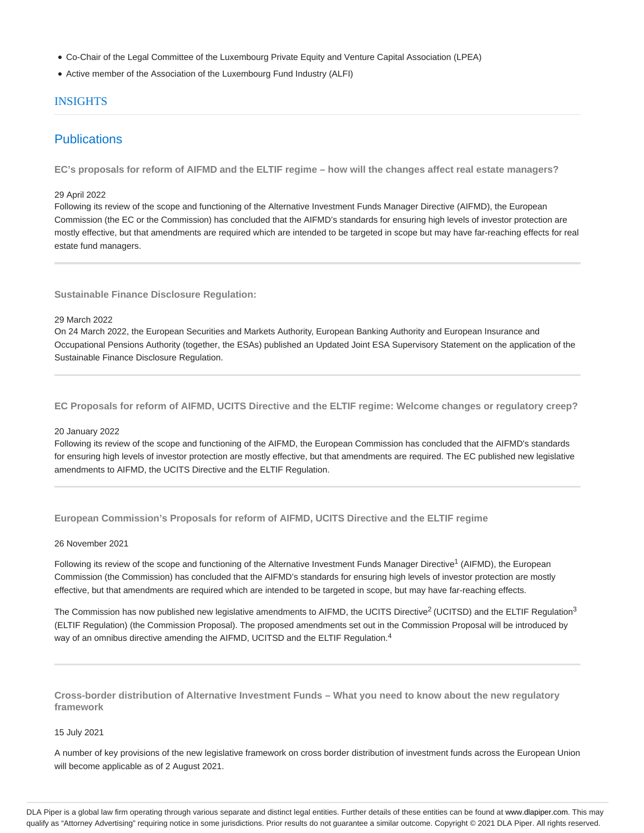- Co-Chair of the Legal Committee of the Luxembourg Private Equity and Venture Capital Association (LPEA)
- Active member of the Association of the Luxembourg Fund Industry (ALFI)

### INSIGHTS

# **Publications**

**EC's proposals for reform of AIFMD and the ELTIF regime – how will the changes affect real estate managers?**

#### 29 April 2022

Following its review of the scope and functioning of the Alternative Investment Funds Manager Directive (AIFMD), the European Commission (the EC or the Commission) has concluded that the AIFMD's standards for ensuring high levels of investor protection are mostly effective, but that amendments are required which are intended to be targeted in scope but may have far-reaching effects for real estate fund managers.

**Sustainable Finance Disclosure Regulation:**

### 29 March 2022

On 24 March 2022, the European Securities and Markets Authority, European Banking Authority and European Insurance and Occupational Pensions Authority (together, the ESAs) published an Updated Joint ESA Supervisory Statement on the application of the Sustainable Finance Disclosure Regulation.

**EC Proposals for reform of AIFMD, UCITS Directive and the ELTIF regime: Welcome changes or regulatory creep?**

#### 20 January 2022

Following its review of the scope and functioning of the AIFMD, the European Commission has concluded that the AIFMD's standards for ensuring high levels of investor protection are mostly effective, but that amendments are required. The EC published new legislative amendments to AIFMD, the UCITS Directive and the ELTIF Regulation.

**European Commission's Proposals for reform of AIFMD, UCITS Directive and the ELTIF regime**

### 26 November 2021

Following its review of the scope and functioning of the Alternative Investment Funds Manager Directive<sup>1</sup> (AIFMD), the European Commission (the Commission) has concluded that the AIFMD's standards for ensuring high levels of investor protection are mostly effective, but that amendments are required which are intended to be targeted in scope, but may have far-reaching effects.

The Commission has now published new legislative amendments to AIFMD, the UCITS Directive<sup>2</sup> (UCITSD) and the ELTIF Regulation<sup>3</sup> (ELTIF Regulation) (the Commission Proposal). The proposed amendments set out in the Commission Proposal will be introduced by way of an omnibus directive amending the AIFMD, UCITSD and the ELTIF Regulation.<sup>4</sup>

**Cross-border distribution of Alternative Investment Funds – What you need to know about the new regulatory framework**

#### 15 July 2021

A number of key provisions of the new legislative framework on cross border distribution of investment funds across the European Union will become applicable as of 2 August 2021.

DLA Piper is a global law firm operating through various separate and distinct legal entities. Further details of these entities can be found at www.dlapiper.com. This may qualify as "Attorney Advertising" requiring notice in some jurisdictions. Prior results do not guarantee a similar outcome. Copyright @ 2021 DLA Piper. All rights reserved.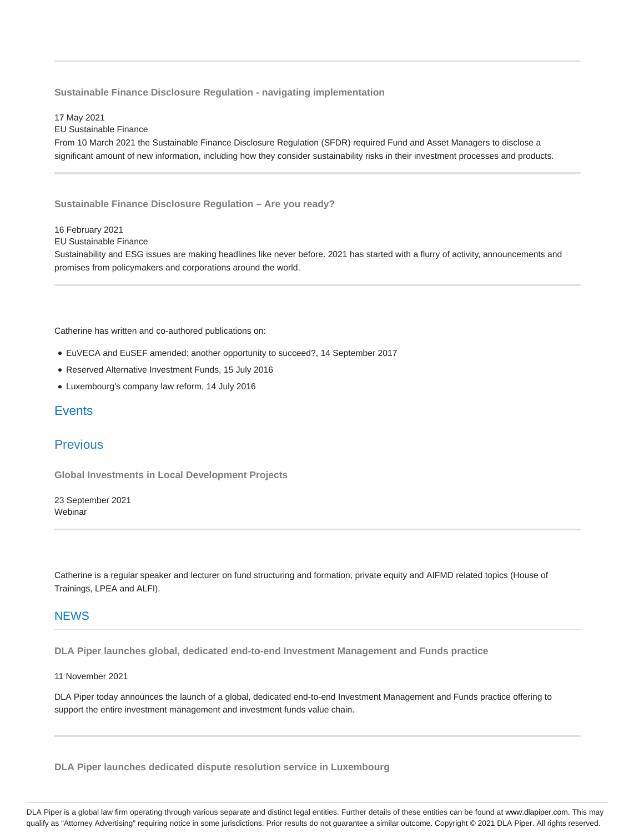**Sustainable Finance Disclosure Regulation - navigating implementation**

17 May 2021 EU Sustainable Finance From 10 March 2021 the Sustainable Finance Disclosure Regulation (SFDR) required Fund and Asset Managers to disclose a significant amount of new information, including how they consider sustainability risks in their investment processes and products.

**Sustainable Finance Disclosure Regulation – Are you ready?**

16 February 2021

EU Sustainable Finance

Sustainability and ESG issues are making headlines like never before. 2021 has started with a flurry of activity, announcements and promises from policymakers and corporations around the world.

Catherine has written and co-authored publications on:

- EuVECA and EuSEF amended: another opportunity to succeed?, 14 September 2017
- Reserved Alternative Investment Funds, 15 July 2016
- Luxembourg's company law reform, 14 July 2016

### **Events**

### Previous

**Global Investments in Local Development Projects**

23 September 2021 Webinar

Catherine is a regular speaker and lecturer on fund structuring and formation, private equity and AIFMD related topics (House of Trainings, LPEA and ALFI).

### **NFWS**

**DLA Piper launches global, dedicated end-to-end Investment Management and Funds practice**

11 November 2021

DLA Piper today announces the launch of a global, dedicated end-to-end Investment Management and Funds practice offering to support the entire investment management and investment funds value chain.

**DLA Piper launches dedicated dispute resolution service in Luxembourg**

DLA Piper is a global law firm operating through various separate and distinct legal entities. Further details of these entities can be found at www.dlapiper.com. This may qualify as "Attorney Advertising" requiring notice in some jurisdictions. Prior results do not guarantee a similar outcome. Copyright @ 2021 DLA Piper. All rights reserved.